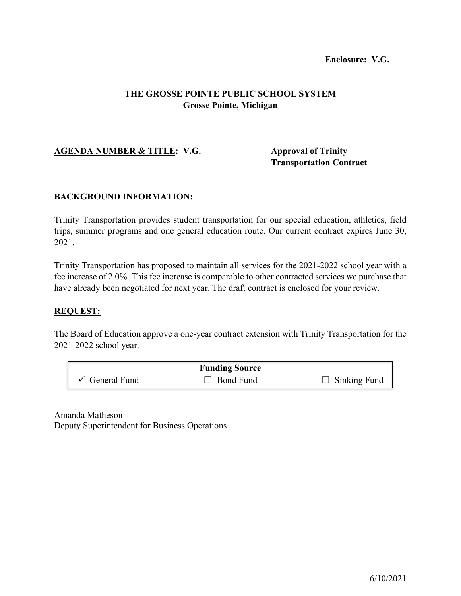## **Enclosure: V.G.**

# **THE GROSSE POINTE PUBLIC SCHOOL SYSTEM Grosse Pointe, Michigan**

# **AGENDA NUMBER & TITLE: V.G. Approval of Trinity**

**Transportation Contract**

### **BACKGROUND INFORMATION:**

Trinity Transportation provides student transportation for our special education, athletics, field trips, summer programs and one general education route. Our current contract expires June 30, 2021.

Trinity Transportation has proposed to maintain all services for the 2021-2022 school year with a fee increase of 2.0%. This fee increase is comparable to other contracted services we purchase that have already been negotiated for next year. The draft contract is enclosed for your review.

# **REQUEST:**

The Board of Education approve a one-year contract extension with Trinity Transportation for the 2021-2022 school year.

|                           | <b>Funding Source</b> |                     |
|---------------------------|-----------------------|---------------------|
| $\checkmark$ General Fund | $\Box$ Bond Fund      | $\Box$ Sinking Fund |

Amanda Matheson Deputy Superintendent for Business Operations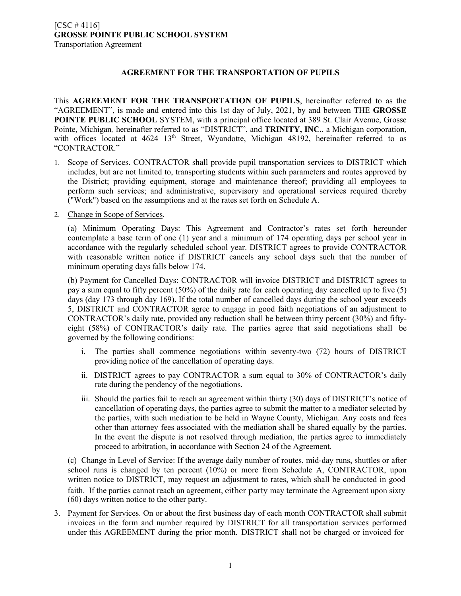### **AGREEMENT FOR THE TRANSPORTATION OF PUPILS**

This **AGREEMENT FOR THE TRANSPORTATION OF PUPILS**, hereinafter referred to as the "AGREEMENT", is made and entered into this 1st day of July, 2021, by and between THE **GROSSE POINTE PUBLIC SCHOOL** SYSTEM, with a principal office located at 389 St. Clair Avenue, Grosse Pointe, Michigan*,* hereinafter referred to as "DISTRICT", and **TRINITY, INC.**, a Michigan corporation, with offices located at 4624 13<sup>th</sup> Street, Wyandotte, Michigan 48192, hereinafter referred to as "CONTRACTOR."

- 1. Scope of Services. CONTRACTOR shall provide pupil transportation services to DISTRICT which includes, but are not limited to, transporting students within such parameters and routes approved by the District; providing equipment, storage and maintenance thereof; providing all employees to perform such services; and administrative, supervisory and operational services required thereby ("Work") based on the assumptions and at the rates set forth on Schedule A.
- 2. Change in Scope of Services.

(a) Minimum Operating Days: This Agreement and Contractor's rates set forth hereunder contemplate a base term of one (1) year and a minimum of 174 operating days per school year in accordance with the regularly scheduled school year. DISTRICT agrees to provide CONTRACTOR with reasonable written notice if DISTRICT cancels any school days such that the number of minimum operating days falls below 174.

(b) Payment for Cancelled Days: CONTRACTOR will invoice DISTRICT and DISTRICT agrees to pay a sum equal to fifty percent (50%) of the daily rate for each operating day cancelled up to five (5) days (day 173 through day 169). If the total number of cancelled days during the school year exceeds 5, DISTRICT and CONTRACTOR agree to engage in good faith negotiations of an adjustment to CONTRACTOR's daily rate, provided any reduction shall be between thirty percent (30%) and fiftyeight (58%) of CONTRACTOR's daily rate. The parties agree that said negotiations shall be governed by the following conditions:

- i. The parties shall commence negotiations within seventy-two (72) hours of DISTRICT providing notice of the cancellation of operating days.
- ii. DISTRICT agrees to pay CONTRACTOR a sum equal to 30% of CONTRACTOR's daily rate during the pendency of the negotiations.
- iii. Should the parties fail to reach an agreement within thirty (30) days of DISTRICT's notice of cancellation of operating days, the parties agree to submit the matter to a mediator selected by the parties, with such mediation to be held in Wayne County, Michigan. Any costs and fees other than attorney fees associated with the mediation shall be shared equally by the parties. In the event the dispute is not resolved through mediation, the parties agree to immediately proceed to arbitration, in accordance with Section 24 of the Agreement.

(c) Change in Level of Service: If the average daily number of routes, mid-day runs, shuttles or after school runs is changed by ten percent (10%) or more from Schedule A, CONTRACTOR, upon written notice to DISTRICT, may request an adjustment to rates, which shall be conducted in good faith. If the parties cannot reach an agreement, either party may terminate the Agreement upon sixty (60) days written notice to the other party.

3. Payment for Services. On or about the first business day of each month CONTRACTOR shall submit invoices in the form and number required by DISTRICT for all transportation services performed under this AGREEMENT during the prior month. DISTRICT shall not be charged or invoiced for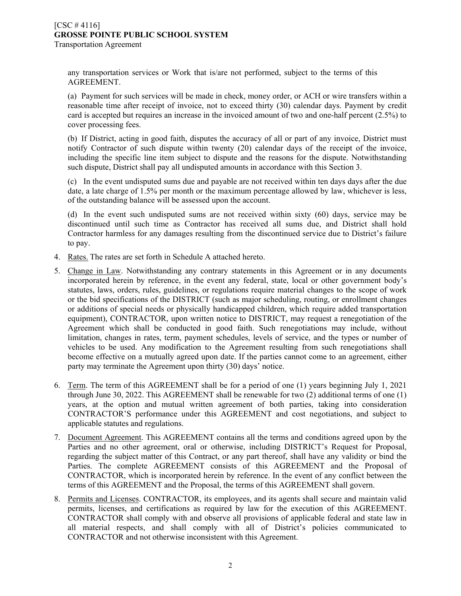#### $[CSC # 4116]$ **GROSSE POINTE PUBLIC SCHOOL SYSTEM** Transportation Agreement

any transportation services or Work that is/are not performed, subject to the terms of this AGREEMENT.

(a) Payment for such services will be made in check, money order, or ACH or wire transfers within a reasonable time after receipt of invoice, not to exceed thirty (30) calendar days. Payment by credit card is accepted but requires an increase in the invoiced amount of two and one-half percent (2.5%) to cover processing fees.

(b) If District, acting in good faith, disputes the accuracy of all or part of any invoice, District must notify Contractor of such dispute within twenty (20) calendar days of the receipt of the invoice, including the specific line item subject to dispute and the reasons for the dispute. Notwithstanding such dispute, District shall pay all undisputed amounts in accordance with this Section 3.

(c) In the event undisputed sums due and payable are not received within ten days days after the due date, a late charge of 1.5% per month or the maximum percentage allowed by law, whichever is less, of the outstanding balance will be assessed upon the account.

(d) In the event such undisputed sums are not received within sixty (60) days, service may be discontinued until such time as Contractor has received all sums due, and District shall hold Contractor harmless for any damages resulting from the discontinued service due to District's failure to pay.

- 4. Rates. The rates are set forth in Schedule A attached hereto.
- 5. Change in Law. Notwithstanding any contrary statements in this Agreement or in any documents incorporated herein by reference, in the event any federal, state, local or other government body's statutes, laws, orders, rules, guidelines, or regulations require material changes to the scope of work or the bid specifications of the DISTRICT (such as major scheduling, routing, or enrollment changes or additions of special needs or physically handicapped children, which require added transportation equipment), CONTRACTOR, upon written notice to DISTRICT, may request a renegotiation of the Agreement which shall be conducted in good faith. Such renegotiations may include, without limitation, changes in rates, term, payment schedules, levels of service, and the types or number of vehicles to be used. Any modification to the Agreement resulting from such renegotiations shall become effective on a mutually agreed upon date. If the parties cannot come to an agreement, either party may terminate the Agreement upon thirty (30) days' notice.
- 6. Term. The term of this AGREEMENT shall be for a period of one (1) years beginning July 1, 2021 through June 30, 2022. This AGREEMENT shall be renewable for two (2) additional terms of one (1) years, at the option and mutual written agreement of both parties, taking into consideration CONTRACTOR'S performance under this AGREEMENT and cost negotiations, and subject to applicable statutes and regulations.
- 7. Document Agreement. This AGREEMENT contains all the terms and conditions agreed upon by the Parties and no other agreement, oral or otherwise, including DISTRICT's Request for Proposal, regarding the subject matter of this Contract, or any part thereof, shall have any validity or bind the Parties. The complete AGREEMENT consists of this AGREEMENT and the Proposal of CONTRACTOR, which is incorporated herein by reference. In the event of any conflict between the terms of this AGREEMENT and the Proposal, the terms of this AGREEMENT shall govern.
- 8. Permits and Licenses. CONTRACTOR, its employees, and its agents shall secure and maintain valid permits, licenses, and certifications as required by law for the execution of this AGREEMENT. CONTRACTOR shall comply with and observe all provisions of applicable federal and state law in all material respects, and shall comply with all of District's policies communicated to CONTRACTOR and not otherwise inconsistent with this Agreement.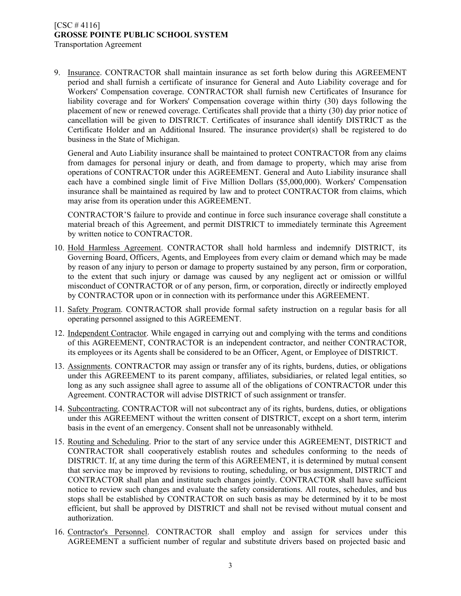#### $[CSC # 4116]$ **GROSSE POINTE PUBLIC SCHOOL SYSTEM** Transportation Agreement

9. Insurance. CONTRACTOR shall maintain insurance as set forth below during this AGREEMENT period and shall furnish a certificate of insurance for General and Auto Liability coverage and for Workers' Compensation coverage. CONTRACTOR shall furnish new Certificates of Insurance for liability coverage and for Workers' Compensation coverage within thirty (30) days following the placement of new or renewed coverage. Certificates shall provide that a thirty (30) day prior notice of cancellation will be given to DISTRICT. Certificates of insurance shall identify DISTRICT as the Certificate Holder and an Additional Insured. The insurance provider(s) shall be registered to do business in the State of Michigan.

General and Auto Liability insurance shall be maintained to protect CONTRACTOR from any claims from damages for personal injury or death, and from damage to property, which may arise from operations of CONTRACTOR under this AGREEMENT. General and Auto Liability insurance shall each have a combined single limit of Five Million Dollars (\$5,000,000). Workers' Compensation insurance shall be maintained as required by law and to protect CONTRACTOR from claims, which may arise from its operation under this AGREEMENT.

CONTRACTOR'S failure to provide and continue in force such insurance coverage shall constitute a material breach of this Agreement, and permit DISTRICT to immediately terminate this Agreement by written notice to CONTRACTOR.

- 10. Hold Harmless Agreement. CONTRACTOR shall hold harmless and indemnify DISTRICT, its Governing Board, Officers, Agents, and Employees from every claim or demand which may be made by reason of any injury to person or damage to property sustained by any person, firm or corporation, to the extent that such injury or damage was caused by any negligent act or omission or willful misconduct of CONTRACTOR or of any person, firm, or corporation, directly or indirectly employed by CONTRACTOR upon or in connection with its performance under this AGREEMENT.
- 11. Safety Program. CONTRACTOR shall provide formal safety instruction on a regular basis for all operating personnel assigned to this AGREEMENT.
- 12. Independent Contractor. While engaged in carrying out and complying with the terms and conditions of this AGREEMENT, CONTRACTOR is an independent contractor, and neither CONTRACTOR, its employees or its Agents shall be considered to be an Officer, Agent, or Employee of DISTRICT.
- 13. Assignments. CONTRACTOR may assign or transfer any of its rights, burdens, duties, or obligations under this AGREEMENT to its parent company, affiliates, subsidiaries, or related legal entities, so long as any such assignee shall agree to assume all of the obligations of CONTRACTOR under this Agreement. CONTRACTOR will advise DISTRICT of such assignment or transfer.
- 14. Subcontracting. CONTRACTOR will not subcontract any of its rights, burdens, duties, or obligations under this AGREEMENT without the written consent of DISTRICT, except on a short term, interim basis in the event of an emergency. Consent shall not be unreasonably withheld.
- 15. Routing and Scheduling. Prior to the start of any service under this AGREEMENT, DISTRICT and CONTRACTOR shall cooperatively establish routes and schedules conforming to the needs of DISTRICT. If, at any time during the term of this AGREEMENT, it is determined by mutual consent that service may be improved by revisions to routing, scheduling, or bus assignment, DISTRICT and CONTRACTOR shall plan and institute such changes jointly. CONTRACTOR shall have sufficient notice to review such changes and evaluate the safety considerations. All routes, schedules, and bus stops shall be established by CONTRACTOR on such basis as may be determined by it to be most efficient, but shall be approved by DISTRICT and shall not be revised without mutual consent and authorization.
- 16. Contractor's Personnel. CONTRACTOR shall employ and assign for services under this AGREEMENT a sufficient number of regular and substitute drivers based on projected basic and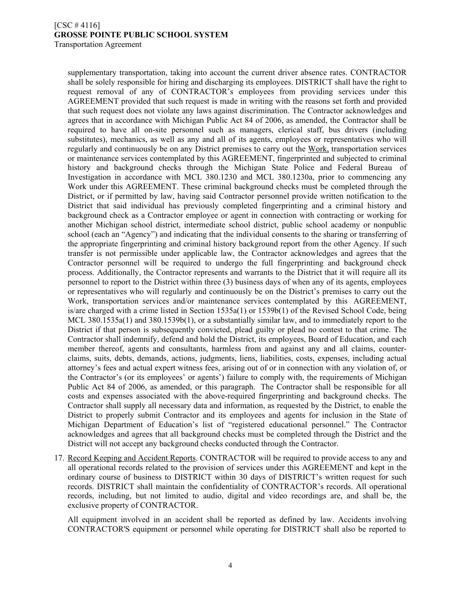#### $[CSC # 4116]$ **GROSSE POINTE PUBLIC SCHOOL SYSTEM** Transportation Agreement

supplementary transportation, taking into account the current driver absence rates. CONTRACTOR shall be solely responsible for hiring and discharging its employees. DISTRICT shall have the right to request removal of any of CONTRACTOR's employees from providing services under this AGREEMENT provided that such request is made in writing with the reasons set forth and provided that such request does not violate any laws against discrimination. The Contractor acknowledges and agrees that in accordance with Michigan Public Act 84 of 2006, as amended, the Contractor shall be required to have all on-site personnel such as managers, clerical staff, bus drivers (including substitutes), mechanics, as well as any and all of its agents, employees or representatives who will regularly and continuously be on any District premises to carry out the Work, transportation services or maintenance services contemplated by this AGREEMENT, fingerprinted and subjected to criminal history and background checks through the Michigan State Police and Federal Bureau of Investigation in accordance with MCL 380.1230 and MCL 380.1230a, prior to commencing any Work under this AGREEMENT. These criminal background checks must be completed through the District, or if permitted by law, having said Contractor personnel provide written notification to the District that said individual has previously completed fingerprinting and a criminal history and background check as a Contractor employee or agent in connection with contracting or working for another Michigan school district, intermediate school district, public school academy or nonpublic school (each an "Agency") and indicating that the individual consents to the sharing or transferring of the appropriate fingerprinting and criminal history background report from the other Agency. If such transfer is not permissible under applicable law, the Contractor acknowledges and agrees that the Contractor personnel will be required to undergo the full fingerprinting and background check process. Additionally, the Contractor represents and warrants to the District that it will require all its personnel to report to the District within three (3) business days of when any of its agents, employees or representatives who will regularly and continuously be on the District's premises to carry out the Work, transportation services and/or maintenance services contemplated by this AGREEMENT, is/are charged with a crime listed in Section 1535a(1) or 1539b(1) of the Revised School Code, being MCL 380.1535a(1) and 380.1539b(1), or a substantially similar law, and to immediately report to the District if that person is subsequently convicted, plead guilty or plead no contest to that crime. The Contractor shall indemnify, defend and hold the District, its employees, Board of Education, and each member thereof, agents and consultants, harmless from and against any and all claims, counterclaims, suits, debts, demands, actions, judgments, liens, liabilities, costs, expenses, including actual attorney's fees and actual expert witness fees, arising out of or in connection with any violation of, or the Contractor's (or its employees' or agents') failure to comply with, the requirements of Michigan Public Act 84 of 2006, as amended, or this paragraph. The Contractor shall be responsible for all costs and expenses associated with the above-required fingerprinting and background checks. The Contractor shall supply all necessary data and information, as requested by the District, to enable the District to properly submit Contractor and its employees and agents for inclusion in the State of Michigan Department of Education's list of "registered educational personnel." The Contractor acknowledges and agrees that all background checks must be completed through the District and the District will not accept any background checks conducted through the Contractor.

17. Record Keeping and Accident Reports. CONTRACTOR will be required to provide access to any and all operational records related to the provision of services under this AGREEMENT and kept in the ordinary course of business to DISTRICT within 30 days of DISTRICT's written request for such records. DISTRICT shall maintain the confidentiality of CONTRACTOR's records. All operational records, including, but not limited to audio, digital and video recordings are, and shall be, the exclusive property of CONTRACTOR.

All equipment involved in an accident shall be reported as defined by law. Accidents involving CONTRACTOR'S equipment or personnel while operating for DISTRICT shall also be reported to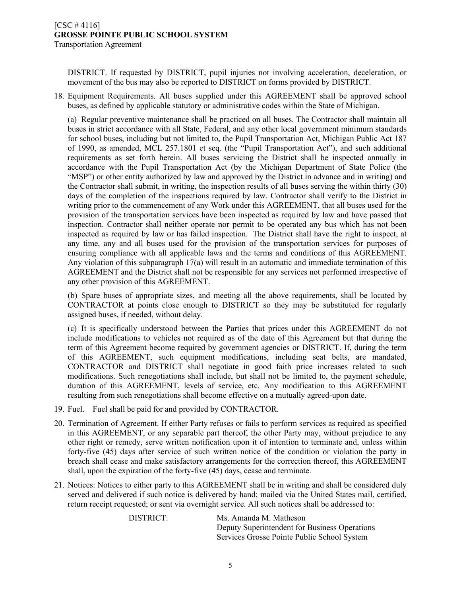DISTRICT. If requested by DISTRICT, pupil injuries not involving acceleration, deceleration, or movement of the bus may also be reported to DISTRICT on forms provided by DISTRICT.

18. Equipment Requirements. All buses supplied under this AGREEMENT shall be approved school buses, as defined by applicable statutory or administrative codes within the State of Michigan.

(a) Regular preventive maintenance shall be practiced on all buses. The Contractor shall maintain all buses in strict accordance with all State, Federal, and any other local government minimum standards for school buses, including but not limited to, the Pupil Transportation Act, Michigan Public Act 187 of 1990, as amended, MCL 257.1801 et seq. (the "Pupil Transportation Act"), and such additional requirements as set forth herein. All buses servicing the District shall be inspected annually in accordance with the Pupil Transportation Act (by the Michigan Department of State Police (the "MSP") or other entity authorized by law and approved by the District in advance and in writing) and the Contractor shall submit, in writing, the inspection results of all buses serving the within thirty (30) days of the completion of the inspections required by law. Contractor shall verify to the District in writing prior to the commencement of any Work under this AGREEMENT, that all buses used for the provision of the transportation services have been inspected as required by law and have passed that inspection. Contractor shall neither operate nor permit to be operated any bus which has not been inspected as required by law or has failed inspection. The District shall have the right to inspect, at any time, any and all buses used for the provision of the transportation services for purposes of ensuring compliance with all applicable laws and the terms and conditions of this AGREEMENT. Any violation of this subparagraph 17(a) will result in an automatic and immediate termination of this AGREEMENT and the District shall not be responsible for any services not performed irrespective of any other provision of this AGREEMENT.

(b) Spare buses of appropriate sizes, and meeting all the above requirements, shall be located by CONTRACTOR at points close enough to DISTRICT so they may be substituted for regularly assigned buses, if needed, without delay.

(c) It is specifically understood between the Parties that prices under this AGREEMENT do not include modifications to vehicles not required as of the date of this Agreement but that during the term of this Agreement become required by government agencies or DISTRICT. If, during the term of this AGREEMENT, such equipment modifications, including seat belts, are mandated, CONTRACTOR and DISTRICT shall negotiate in good faith price increases related to such modifications. Such renegotiations shall include, but shall not be limited to, the payment schedule, duration of this AGREEMENT, levels of service, etc. Any modification to this AGREEMENT resulting from such renegotiations shall become effective on a mutually agreed-upon date.

- 19. Fuel. Fuel shall be paid for and provided by CONTRACTOR.
- 20. Termination of Agreement. If either Party refuses or fails to perform services as required as specified in this AGREEMENT, or any separable part thereof, the other Party may, without prejudice to any other right or remedy, serve written notification upon it of intention to terminate and, unless within forty-five (45) days after service of such written notice of the condition or violation the party in breach shall cease and make satisfactory arrangements for the correction thereof, this AGREEMENT shall, upon the expiration of the forty-five (45) days, cease and terminate.
- 21. Notices: Notices to either party to this AGREEMENT shall be in writing and shall be considered duly served and delivered if such notice is delivered by hand; mailed via the United States mail, certified, return receipt requested; or sent via overnight service. All such notices shall be addressed to:

DISTRICT: Ms. Amanda M. Matheson Deputy Superintendent for Business Operations Services Grosse Pointe Public School System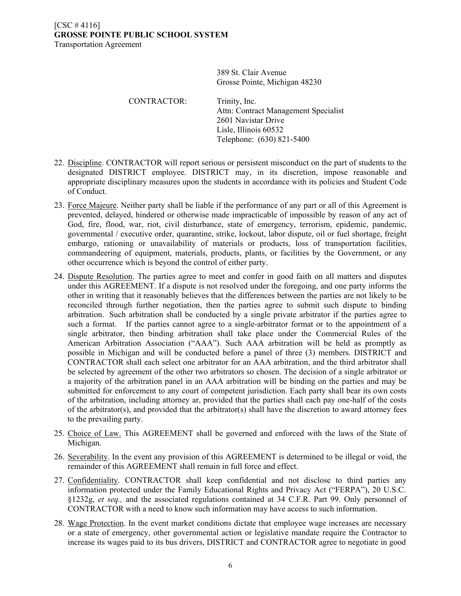389 St. Clair Avenue Grosse Pointe, Michigan 48230

CONTRACTOR: Trinity, Inc. Attn: Contract Management Specialist 2601 Navistar Drive Lisle, Illinois 60532 Telephone: (630) 821-5400

- 22. Discipline. CONTRACTOR will report serious or persistent misconduct on the part of students to the designated DISTRICT employee. DISTRICT may, in its discretion, impose reasonable and appropriate disciplinary measures upon the students in accordance with its policies and Student Code of Conduct.
- 23. Force Majeure. Neither party shall be liable if the performance of any part or all of this Agreement is prevented, delayed, hindered or otherwise made impracticable of impossible by reason of any act of God, fire, flood, war, riot, civil disturbance, state of emergency, terrorism, epidemic, pandemic, governmental / executive order, quarantine, strike, lockout, labor dispute, oil or fuel shortage, freight embargo, rationing or unavailability of materials or products, loss of transportation facilities, commandeering of equipment, materials, products, plants, or facilities by the Government, or any other occurrence which is beyond the control of either party.
- 24. Dispute Resolution. The parties agree to meet and confer in good faith on all matters and disputes under this AGREEMENT. If a dispute is not resolved under the foregoing, and one party informs the other in writing that it reasonably believes that the differences between the parties are not likely to be reconciled through further negotiation, then the parties agree to submit such dispute to binding arbitration. Such arbitration shall be conducted by a single private arbitrator if the parties agree to such a format. If the parties cannot agree to a single-arbitrator format or to the appointment of a single arbitrator, then binding arbitration shall take place under the Commercial Rules of the American Arbitration Association ("AAA"). Such AAA arbitration will be held as promptly as possible in Michigan and will be conducted before a panel of three (3) members. DISTRICT and CONTRACTOR shall each select one arbitrator for an AAA arbitration, and the third arbitrator shall be selected by agreement of the other two arbitrators so chosen. The decision of a single arbitrator or a majority of the arbitration panel in an AAA arbitration will be binding on the parties and may be submitted for enforcement to any court of competent jurisdiction. Each party shall bear its own costs of the arbitration, including attorney ar, provided that the parties shall each pay one-half of the costs of the arbitrator(s), and provided that the arbitrator(s) shall have the discretion to award attorney fees to the prevailing party.
- 25. Choice of Law. This AGREEMENT shall be governed and enforced with the laws of the State of Michigan.
- 26. Severability. In the event any provision of this AGREEMENT is determined to be illegal or void, the remainder of this AGREEMENT shall remain in full force and effect.
- 27. Confidentiality. CONTRACTOR shall keep confidential and not disclose to third parties any information protected under the Family Educational Rights and Privacy Act ("FERPA"), 20 U.S.C. §1232g, *et seq.,* and the associated regulations contained at 34 C.F.R. Part 99. Only personnel of CONTRACTOR with a need to know such information may have access to such information.
- 28. Wage Protection. In the event market conditions dictate that employee wage increases are necessary or a state of emergency, other governmental action or legislative mandate require the Contractor to increase its wages paid to its bus drivers, DISTRICT and CONTRACTOR agree to negotiate in good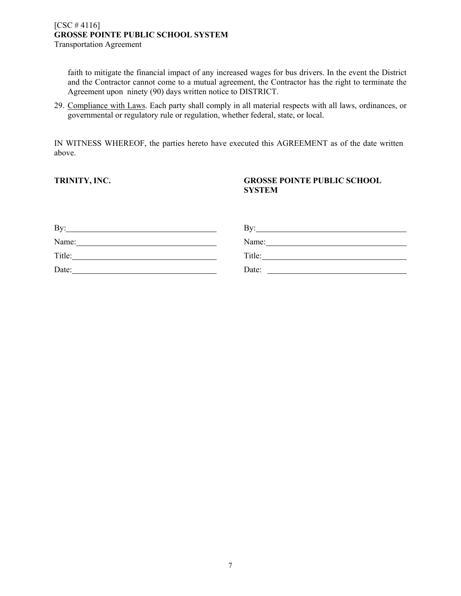faith to mitigate the financial impact of any increased wages for bus drivers. In the event the District and the Contractor cannot come to a mutual agreement, the Contractor has the right to terminate the Agreement upon ninety (90) days written notice to DISTRICT.

29. Compliance with Laws. Each party shall comply in all material respects with all laws, ordinances, or governmental or regulatory rule or regulation, whether federal, state, or local.

IN WITNESS WHEREOF, the parties hereto have executed this AGREEMENT as of the date written above.

### **TRINITY, INC. GROSSE POINTE PUBLIC SCHOOL SYSTEM**

| By:    | Bv:    |
|--------|--------|
| Name:  | Name:  |
| Title: | Title: |
| Date:  | Date:  |